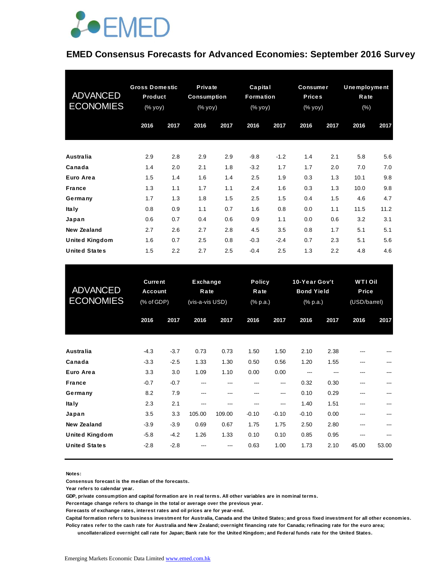

#### **EMED Consensus Forecasts for Advanced Economies: September 2016 Survey**

| <b>ADVANCED</b><br><b>ECONOMIES</b> | <b>Gross Domestic</b><br><b>Product</b><br>(% yoy) |      | Private<br><b>Consumption</b><br>$(\%$ yoy) |      | Capital<br><b>Formation</b><br>(% yoy) |        | <b>Consumer</b><br><b>Prices</b><br>(% yoy) |      | <b>Unemployment</b><br>Rate<br>$(\% )$ |      |
|-------------------------------------|----------------------------------------------------|------|---------------------------------------------|------|----------------------------------------|--------|---------------------------------------------|------|----------------------------------------|------|
|                                     | 2016                                               | 2017 | 2016                                        | 2017 | 2016                                   | 2017   | 2016                                        | 2017 | 2016                                   | 2017 |
| Australia                           | 2.9                                                | 2.8  | 2.9                                         | 2.9  | $-9.8$                                 | $-1.2$ | 1.4                                         | 2.1  | 5.8                                    | 5.6  |
| Canada                              | 1.4                                                | 2.0  | 2.1                                         | 1.8  | $-3.2$                                 | 1.7    | 1.7                                         | 2.0  | 7.0                                    | 7.0  |
| Euro Area                           | 1.5                                                | 1.4  | 1.6                                         | 1.4  | 2.5                                    | 1.9    | 0.3                                         | 1.3  | 10.1                                   | 9.8  |
| <b>France</b>                       | 1.3                                                | 1.1  | 1.7                                         | 1.1  | 2.4                                    | 1.6    | 0.3                                         | 1.3  | 10.0                                   | 9.8  |
| Germany                             | 1.7                                                | 1.3  | 1.8                                         | 1.5  | 2.5                                    | 1.5    | 0.4                                         | 1.5  | 4.6                                    | 4.7  |
| Ita Iy                              | 0.8                                                | 0.9  | 1.1                                         | 0.7  | 1.6                                    | 0.8    | 0.0                                         | 1.1  | 11.5                                   | 11.2 |
| Japan                               | 0.6                                                | 0.7  | 0.4                                         | 0.6  | 0.9                                    | 1.1    | 0.0                                         | 0.6  | 3.2                                    | 3.1  |
| New Zealand                         | 2.7                                                | 2.6  | 2.7                                         | 2.8  | 4.5                                    | 3.5    | 0.8                                         | 1.7  | 5.1                                    | 5.1  |
| <b>United Kingdom</b>               | 1.6                                                | 0.7  | 2.5                                         | 0.8  | $-0.3$                                 | $-2.4$ | 0.7                                         | 2.3  | 5.1                                    | 5.6  |
| <b>United States</b>                | 1.5                                                | 2.2  | 2.7                                         | 2.5  | $-0.4$                                 | 2.5    | 1.3                                         | 2.2  | 4.8                                    | 4.6  |

| <b>United States</b>                          | 1.5                                     | 2.2              | 2.7           | 2.5                                 | $-0.4$         | 2.5                               | 1.3             | 2.2                                            | 4.8          | 4.6                                    |  |
|-----------------------------------------------|-----------------------------------------|------------------|---------------|-------------------------------------|----------------|-----------------------------------|-----------------|------------------------------------------------|--------------|----------------------------------------|--|
| <b>ADVANCED</b><br><b>ECONOMIES</b>           | <b>Current</b><br>Account<br>(% of GDP) |                  |               | Exchange<br>Rate<br>(vis-a-vis USD) |                | <b>Policy</b><br>Rate<br>(% p.a.) |                 | 10-Year Gov't<br><b>Bond Yield</b><br>(% p.a.) |              | <b>WTIOil</b><br>Price<br>(USD/barrel) |  |
|                                               | 2016                                    | 2017             | 2016          | 2017                                | 2016           | 2017                              | 2016            | 2017                                           | 2016         | 2017                                   |  |
| Australia                                     | $-4.3$                                  | $-3.7$           | 0.73          | 0.73                                | 1.50           | 1.50                              | 2.10            | 2.38                                           |              |                                        |  |
| Canada<br>Euro Area                           | $-3.3$<br>3.3                           | $-2.5$<br>3.0    | 1.33<br>1.09  | 1.30<br>1.10                        | 0.50<br>0.00   | 0.56<br>0.00                      | 1.20<br>---     | 1.55<br>---                                    | ---          |                                        |  |
| <b>France</b><br>Germany                      | $-0.7$<br>8.2                           | $-0.7$<br>7.9    | ---<br>---    | ---<br>---                          | ---<br>---     | ---<br>---                        | 0.32<br>0.10    | 0.30<br>0.29                                   | ---<br>---   |                                        |  |
| Ita Iy<br>Japan                               | 2.3<br>3.5                              | 2.1<br>3.3       | ---<br>105.00 | ---<br>109.00                       | ---<br>$-0.10$ | ---<br>$-0.10$                    | 1.40<br>$-0.10$ | 1.51<br>0.00                                   | ---          |                                        |  |
| <b>New Zealand</b>                            | $-3.9$                                  | $-3.9$           | 0.69          | 0.67                                | 1.75           | 1.75                              | 2.50            | 2.80                                           | ---          |                                        |  |
| <b>United Kingdom</b><br><b>United States</b> | $-5.8$<br>$-2.8$                        | $-4.2$<br>$-2.8$ | 1.26          | 1.33                                | 0.10<br>0.63   | 0.10<br>1.00                      | 0.85<br>1.73    | 0.95<br>2.10                                   | ---<br>45.00 | 53.00                                  |  |

#### **Notes:**

**Consensus forecast is the median of the forecasts.**

**Year refers to calendar year.**

**GDP, private consumption and capital formation are in real terms. All other variables are in nominal terms.**

**Percentage change refers to change in the total or average over the previous year.**

**Forecasts of exchange rates, interest rates and oil prices are for year-end.**

**Capital formation refers to business investment for Australia, Canada and the United States; and gross fixed investment for all other economies. Policy rates refer to the cash rate for Australia and New Zealand; overnight financing rate for Canada; refinacing rate for the euro area;** 

 **uncollateralized overnight call rate for Japan; Bank rate for the United Kingdom; and Federal funds rate for the United States.**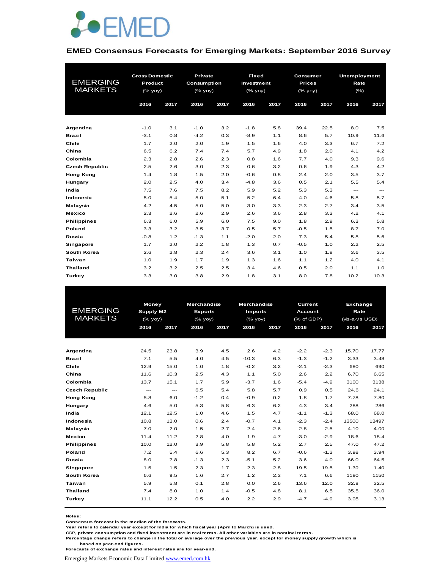

#### **EMED Consensus Forecasts for Emerging Markets: September 2016 Survey**

| <b>EMERGING</b><br><b>MARKETS</b> | <b>Gross Domestic</b><br>Product<br>(% yoy)<br>2016 | 2017 | Private<br><b>Consumption</b><br>(% yoy)<br>2016 | 2017 | <b>Fixed</b><br>Investment<br>(% yoy)<br>2016 | 2017 | Consumer<br><b>Prices</b><br>(% yoy)<br>2016 | 2017 | <b>Unemployment</b><br>Rate<br>(% )<br>2016 | 2017 |
|-----------------------------------|-----------------------------------------------------|------|--------------------------------------------------|------|-----------------------------------------------|------|----------------------------------------------|------|---------------------------------------------|------|
| Argentina                         | $-1.0$                                              | 3.1  | $-1.0$                                           | 3.2  | $-1.8$                                        | 5.8  | 39.4                                         | 22.5 | 8.0                                         | 7.5  |
| <b>Brazil</b>                     | $-3.1$                                              | 0.8  | $-4.2$                                           | 0.3  | $-8.9$                                        | 1.1  | 8.6                                          | 5.7  | 10.9                                        | 11.6 |
| Chile                             | 1.7                                                 | 2.0  | 2.0                                              | 1.9  | 1.5                                           | 1.6  | 4.0                                          | 3.3  | 6.7                                         | 7.2  |
| China                             | 6.5                                                 | 6.2  | 7.4                                              | 7.4  | 5.7                                           | 4.9  | 1.8                                          | 2.0  | 4.1                                         | 4.2  |
| Colombia                          | 2.3                                                 | 2.8  | 2.6                                              | 2.3  | 0.8                                           | 1.6  | 7.7                                          | 4.0  | 9.3                                         | 9.6  |
| <b>Czech Republic</b>             | 2.5                                                 | 2.6  | 3.0                                              | 2.3  | 0.6                                           | 3.2  | 0.6                                          | 1.9  | 4.3                                         | 4.2  |
| <b>Hong Kong</b>                  | 1.4                                                 | 1.8  | 1.5                                              | 2.0  | $-0.6$                                        | 0.8  | 2.4                                          | 2.0  | 3.5                                         | 3.7  |
| Hungary                           | 2.0                                                 | 2.5  | 4.0                                              | 3.4  | $-4.8$                                        | 3.6  | 0.5                                          | 2.1  | 5.5                                         | 5.4  |
| India                             | 7.5                                                 | 7.6  | 7.5                                              | 8.2  | 5.9                                           | 5.2  | 5.3                                          | 5.3  | $\hspace{0.05cm} \ldots$                    | ---  |
| Indonesia                         | 5.0                                                 | 5.4  | 5.0                                              | 5.1  | 5.2                                           | 6.4  | 4.0                                          | 4.6  | 5.8                                         | 5.7  |
| Malaysia                          | 4.2                                                 | 4.5  | 5.0                                              | 5.0  | 3.0                                           | 3.3  | 2.3                                          | 2.7  | 3.4                                         | 3.5  |
| Mexico                            | 2.3                                                 | 2.6  | 2.6                                              | 2.9  | 2.6                                           | 3.6  | 2.8                                          | 3.3  | 4.2                                         | 4.1  |
| <b>Philippines</b>                | 6.3                                                 | 6.0  | 5.9                                              | 6.0  | 7.5                                           | 9.0  | 1.8                                          | 2.9  | 6.3                                         | 5.8  |
| Poland                            | 3.3                                                 | 3.2  | 3.5                                              | 3.7  | 0.5                                           | 5.7  | $-0.5$                                       | 1.5  | 8.7                                         | 7.0  |
| Russia                            | $-0.8$                                              | 1.2  | $-1.3$                                           | 1.1  | $-2.0$                                        | 2.0  | 7.3                                          | 5.4  | 5.8                                         | 5.6  |
| <b>Singapore</b>                  | 1.7                                                 | 2.0  | 2.2                                              | 1.8  | 1.3                                           | 0.7  | $-0.5$                                       | 1.0  | 2.2                                         | 2.5  |
| South Korea                       | 2.6                                                 | 2.8  | 2.3                                              | 2.4  | 3.6                                           | 3.1  | 1.0                                          | 1.8  | 3.6                                         | 3.5  |
| Taiwan                            | 1.0                                                 | 1.9  | 1.7                                              | 1.9  | 1.3                                           | 1.6  | 1.1                                          | 1.2  | 4.0                                         | 4.1  |
| <b>Thailand</b>                   | 3.2                                                 | 3.2  | 2.5                                              | 2.5  | 3.4                                           | 4.6  | 0.5                                          | 2.0  | 1.1                                         | 1.0  |
| <b>Turkey</b>                     | 3.3                                                 | 3.0  | 3.8                                              | 2.9  | 1.8                                           | 3.1  | 8.0                                          | 7.8  | 10.2                                        | 10.3 |

| <b>EMERGING</b><br><b>MARKETS</b> |      | Money<br>Supply M2<br>$(%$ (% yoy) |        | <b>Merchandise</b><br><b>Exports</b><br>$(\%$ yoy) | <b>Merchandise</b><br><b>Imports</b><br>$(%$ (% yoy) |      | Current<br><b>Account</b><br>(% of GDP) |        | Exchange<br>Rate<br>(vis-a-vis USD) | 2017  |  |
|-----------------------------------|------|------------------------------------|--------|----------------------------------------------------|------------------------------------------------------|------|-----------------------------------------|--------|-------------------------------------|-------|--|
|                                   | 2016 | 2017                               | 2016   | 2017                                               | 2016                                                 | 2017 | 2016                                    | 2017   | 2016                                |       |  |
|                                   |      |                                    |        |                                                    |                                                      |      |                                         |        |                                     |       |  |
| Argentina                         | 24.5 | 23.8                               | 3.9    | 4.5                                                | 2.6                                                  | 4.2  | $-2.2$                                  | $-2.3$ | 15.70                               | 17.77 |  |
| <b>Brazil</b>                     | 7.1  | 5.5                                | 4.0    | 4.5                                                | $-10.3$                                              | 6.3  | $-1.3$                                  | $-1.2$ | 3.33                                | 3.48  |  |
| Chile                             | 12.9 | 15.0                               | 1.0    | 1.8                                                | $-0.2$                                               | 3.2  | $-2.1$                                  | $-2.3$ | 680                                 | 690   |  |
| China                             | 11.6 | 10.3                               | 2.5    | 4.3                                                | 1.1                                                  | 5.0  | 2.6                                     | 2.2    | 6.70                                | 6.65  |  |
| Colombia                          | 13.7 | 15.1                               | 1.7    | 5.9                                                | $-3.7$                                               | 1.6  | $-5.4$                                  | $-4.9$ | 3100                                | 3138  |  |
| <b>Czech Republic</b>             | ---  | ---                                | 6.5    | 5.4                                                | 5.8                                                  | 5.7  | 0.9                                     | 0.5    | 24.6                                | 24.1  |  |
| <b>Hong Kong</b>                  | 5.8  | 6.0                                | $-1.2$ | 0.4                                                | $-0.9$                                               | 0.2  | 1.8                                     | 1.7    | 7.78                                | 7.80  |  |
| Hungary                           | 4.6  | 5.0                                | 5.3    | 5.8                                                | 6.3                                                  | 6.2  | 4.3                                     | 3.4    | 288                                 | 286   |  |
| India                             | 12.1 | 12.5                               | 1.0    | 4.6                                                | 1.5                                                  | 4.7  | $-1.1$                                  | $-1.3$ | 68.0                                | 68.0  |  |
| Indonesia                         | 10.8 | 13.0                               | 0.6    | 2.4                                                | $-0.7$                                               | 4.1  | $-2.3$                                  | $-2.4$ | 13500                               | 13497 |  |
| Malaysia                          | 7.0  | 2.0                                | 1.5    | 2.7                                                | 2.4                                                  | 2.6  | 2.8                                     | 2.5    | 4.10                                | 4.00  |  |
| <b>Mexico</b>                     | 11.4 | 11.2                               | 2.8    | 4.0                                                | 1.9                                                  | 4.7  | $-3.0$                                  | $-2.9$ | 18.6                                | 18.4  |  |
| <b>Philippines</b>                | 10.0 | 12.0                               | 3.9    | 5.8                                                | 5.8                                                  | 5.2  | 2.7                                     | 2.5    | 47.0                                | 47.2  |  |
| Poland                            | 7.2  | 5.4                                | 6.6    | 5.3                                                | 8.2                                                  | 6.7  | $-0.6$                                  | $-1.3$ | 3.98                                | 3.94  |  |
| Russia                            | 8.0  | 7.8                                | $-1.3$ | 2.3                                                | $-5.1$                                               | 5.2  | 3.6                                     | 4.0    | 66.0                                | 64.5  |  |
| <b>Singapore</b>                  | 1.5  | 1.5                                | 2.3    | 1.7                                                | 2.3                                                  | 2.8  | 19.5                                    | 19.5   | 1.39                                | 1.40  |  |
| South Korea                       | 6.6  | 9.5                                | 1.6    | 2.7                                                | 1.2                                                  | 2.3  | 7.1                                     | 6.6    | 1180                                | 1150  |  |
| Taiwan                            | 5.9  | 5.8                                | 0.1    | 2.8                                                | 0.0                                                  | 2.6  | 13.6                                    | 12.0   | 32.8                                | 32.5  |  |
| <b>Thailand</b>                   | 7.4  | 8.0                                | 1.0    | 1.4                                                | $-0.5$                                               | 4.8  | 8.1                                     | 6.5    | 35.5                                | 36.0  |  |
| Turkey                            | 11.1 | 12.2                               | 0.5    | 4.0                                                | 2.2                                                  | 2.9  | $-4.7$                                  | $-4.9$ | 3.05                                | 3.13  |  |

**Notes:** 

**Consensus forecast is the median of the forecasts.**

**Year refers to calendar year except for India for which fiscal year (April to March) is used.**

**GDP, private consumption and fixed investment are in real terms. All other variables are in nominal terms.**

**Percentage change refers to change in the total or average over the previous year, except for money supply growth which is based on year-end figures.**

**Forecasts of exchange rates and interest rates are for year-end.**

Emerging Markets Economic Data Limited www.emed.com.hk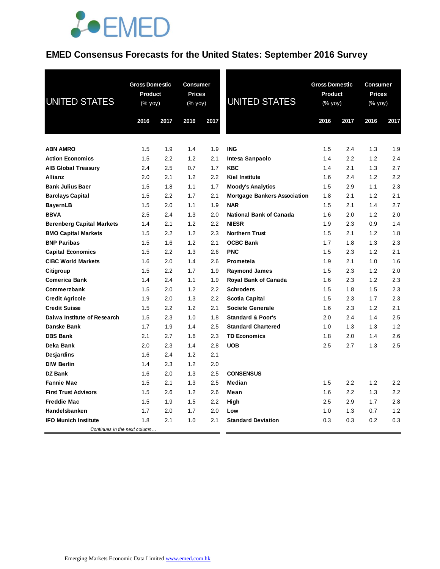# **JOEMED**

### **EMED Consensus Forecasts for the United States: September 2016 Survey**

| <b>UNITED STATES</b>             | <b>Gross Domestic</b><br><b>Product</b><br>(% yoy)<br>2016<br>2017 |     | <b>Consumer</b><br><b>Prices</b><br>(% yoy)<br>2016 | 2017 | <b>UNITED STATES</b>                | <b>Gross Domestic</b><br><b>Product</b><br>(% yoy)<br>2016 | 2017 | <b>Consumer</b><br><b>Prices</b><br>(% yoy)<br>2016 | 2017 |
|----------------------------------|--------------------------------------------------------------------|-----|-----------------------------------------------------|------|-------------------------------------|------------------------------------------------------------|------|-----------------------------------------------------|------|
|                                  |                                                                    |     |                                                     |      |                                     |                                                            |      |                                                     |      |
| <b>ABN AMRO</b>                  | 1.5                                                                | 1.9 | 1.4                                                 | 1.9  | <b>ING</b>                          | 1.5                                                        | 2.4  | 1.3                                                 | 1.9  |
| <b>Action Economics</b>          | 1.5                                                                | 2.2 | 1.2                                                 | 2.1  | Intesa Sanpaolo                     | 1.4                                                        | 2.2  | 1.2                                                 | 2.4  |
| <b>AIB Global Treasury</b>       | 2.4                                                                | 2.5 | 0.7                                                 | 1.7  | <b>KBC</b>                          | 1.4                                                        | 2.1  | 1.3                                                 | 2.7  |
| <b>Allianz</b>                   | 2.0                                                                | 2.1 | 1.2                                                 | 2.2  | <b>Kiel Institute</b>               | 1.6                                                        | 2.4  | 1.2                                                 | 2.2  |
| <b>Bank Julius Baer</b>          | 1.5                                                                | 1.8 | 1.1                                                 | 1.7  | <b>Moody's Analytics</b>            | 1.5                                                        | 2.9  | 1.1                                                 | 2.3  |
| <b>Barclays Capital</b>          | 1.5                                                                | 2.2 | 1.7                                                 | 2.1  | <b>Mortgage Bankers Association</b> | 1.8                                                        | 2.1  | 1.2                                                 | 2.1  |
| <b>BayernLB</b>                  | 1.5                                                                | 2.0 | 1.1                                                 | 1.9  | <b>NAR</b>                          | 1.5                                                        | 2.1  | 1.4                                                 | 2.7  |
| <b>BBVA</b>                      | 2.5                                                                | 2.4 | 1.3                                                 | 2.0  | <b>National Bank of Canada</b>      | 1.6                                                        | 2.0  | 1.2                                                 | 2.0  |
| <b>Berenberg Capital Markets</b> | 1.4                                                                | 2.1 | 1.2                                                 | 2.2  | <b>NIESR</b>                        | 1.9                                                        | 2.3  | 0.9                                                 | 1.4  |
| <b>BMO Capital Markets</b>       | 1.5                                                                | 2.2 | 1.2                                                 | 2.3  | <b>Northern Trust</b>               | 1.5                                                        | 2.1  | 1.2                                                 | 1.8  |
| <b>BNP Paribas</b>               | 1.5                                                                | 1.6 | 1.2                                                 | 2.1  | <b>OCBC Bank</b>                    | 1.7                                                        | 1.8  | 1.3                                                 | 2.3  |
| <b>Capital Economics</b>         | 1.5                                                                | 2.2 | 1.3                                                 | 2.6  | <b>PNC</b>                          | 1.5                                                        | 2.3  | 1.2                                                 | 2.1  |
| <b>CIBC World Markets</b>        | 1.6                                                                | 2.0 | 1.4                                                 | 2.6  | Prometeia                           | 1.9                                                        | 2.1  | 1.0                                                 | 1.6  |
| Citigroup                        | 1.5                                                                | 2.2 | 1.7                                                 | 1.9  | <b>Raymond James</b>                | 1.5                                                        | 2.3  | 1.2                                                 | 2.0  |
| Comerica Bank                    | 1.4                                                                | 2.4 | 1.1                                                 | 1.9  | <b>Royal Bank of Canada</b>         | 1.6                                                        | 2.3  | 1.2                                                 | 2.3  |
| Commerzbank                      | 1.5                                                                | 2.0 | 1.2                                                 | 2.2  | <b>Schroders</b>                    | 1.5                                                        | 1.8  | 1.5                                                 | 2.3  |
| <b>Credit Agricole</b>           | 1.9                                                                | 2.0 | 1.3                                                 | 2.2  | Scotia Capital                      | 1.5                                                        | 2.3  | 1.7                                                 | 2.3  |
| <b>Credit Suisse</b>             | 1.5                                                                | 2.2 | 1.2                                                 | 2.1  | <b>Societe Generale</b>             | 1.6                                                        | 2.3  | 1.2                                                 | 2.1  |
| Daiwa Institute of Research      | 1.5                                                                | 2.3 | 1.0                                                 | 1.8  | <b>Standard &amp; Poor's</b>        | 2.0                                                        | 2.4  | 1.4                                                 | 2.5  |
| Danske Bank                      | 1.7                                                                | 1.9 | 1.4                                                 | 2.5  | <b>Standard Chartered</b>           | 1.0                                                        | 1.3  | 1.3                                                 | 1.2  |
| <b>DBS Bank</b>                  | 2.1                                                                | 2.7 | 1.6                                                 | 2.3  | <b>TD Economics</b>                 | 1.8                                                        | 2.0  | 1.4                                                 | 2.6  |
| Deka Bank                        | 2.0                                                                | 2.3 | 1.4                                                 | 2.8  | <b>UOB</b>                          | 2.5                                                        | 2.7  | 1.3                                                 | 2.5  |
| Desjardins                       | 1.6                                                                | 2.4 | 1.2                                                 | 2.1  |                                     |                                                            |      |                                                     |      |
| <b>DIW Berlin</b>                | 1.4                                                                | 2.3 | 1.2                                                 | 2.0  |                                     |                                                            |      |                                                     |      |
| <b>DZ Bank</b>                   | 1.6                                                                | 2.0 | 1.3                                                 | 2.5  | <b>CONSENSUS</b>                    |                                                            |      |                                                     |      |
| <b>Fannie Mae</b>                | 1.5                                                                | 2.1 | 1.3                                                 | 2.5  | Median                              | 1.5                                                        | 2.2  | 1.2                                                 | 2.2  |
| <b>First Trust Advisors</b>      | 1.5                                                                | 2.6 | 1.2                                                 | 2.6  | Mean                                | 1.6                                                        | 2.2  | 1.3                                                 | 2.2  |
| <b>Freddie Mac</b>               | 1.5                                                                | 1.9 | 1.5                                                 | 2.2  | High                                | 2.5                                                        | 2.9  | 1.7                                                 | 2.8  |
| Handelsbanken                    | 1.7                                                                | 2.0 | 1.7                                                 | 2.0  | Low                                 | 1.0                                                        | 1.3  | 0.7                                                 | 1.2  |
| <b>IFO Munich Institute</b>      | 1.8                                                                | 2.1 | 1.0                                                 | 2.1  | <b>Standard Deviation</b>           | 0.3                                                        | 0.3  | 0.2                                                 | 0.3  |
| Continues in the next column     |                                                                    |     |                                                     |      |                                     |                                                            |      |                                                     |      |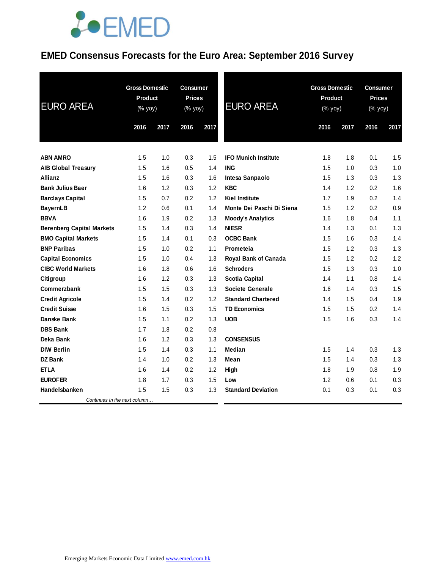# **JOEMED**

### **EMED Consensus Forecasts for the Euro Area: September 2016 Survey**

| <b>EURO AREA</b>                 | <b>Gross Domestic</b><br><b>Product</b><br>$(% \mathsf{Y}^{\prime }\mathsf{Y}^{\prime }\mathsf{Y}^{\prime })$ |      | <b>Consumer</b><br><b>Prices</b><br>(% yoy) |      | <b>EURO AREA</b>            | <b>Gross Domestic</b><br><b>Product</b><br>(% yoy) |      | <b>Consumer</b><br><b>Prices</b><br>(% yoy) |      |
|----------------------------------|---------------------------------------------------------------------------------------------------------------|------|---------------------------------------------|------|-----------------------------|----------------------------------------------------|------|---------------------------------------------|------|
|                                  | 2016                                                                                                          | 2017 | 2016                                        | 2017 |                             | 2016                                               | 2017 | 2016                                        | 2017 |
| <b>ABN AMRO</b>                  | 1.5                                                                                                           | 1.0  | 0.3                                         | 1.5  | <b>IFO Munich Institute</b> | 1.8                                                | 1.8  | 0.1                                         | 1.5  |
| <b>AIB Global Treasury</b>       | 1.5                                                                                                           | 1.6  | 0.5                                         | 1.4  | <b>ING</b>                  | 1.5                                                | 1.0  | 0.3                                         | 1.0  |
| <b>Allianz</b>                   | 1.5                                                                                                           | 1.6  | 0.3                                         | 1.6  | Intesa Sanpaolo             | 1.5                                                | 1.3  | 0.3                                         | 1.3  |
| <b>Bank Julius Baer</b>          | 1.6                                                                                                           | 1.2  | 0.3                                         | 1.2  | <b>KBC</b>                  | 1.4                                                | 1.2  | 0.2                                         | 1.6  |
| <b>Barclays Capital</b>          | 1.5                                                                                                           | 0.7  | 0.2                                         | 1.2  | <b>Kiel Institute</b>       | 1.7                                                | 1.9  | 0.2                                         | 1.4  |
| <b>BayernLB</b>                  | 1.2                                                                                                           | 0.6  | 0.1                                         | 1.4  | Monte Dei Paschi Di Siena   | 1.5                                                | 1.2  | 0.2                                         | 0.9  |
| <b>BBVA</b>                      | 1.6                                                                                                           | 1.9  | 0.2                                         | 1.3  | <b>Moody's Analytics</b>    | 1.6                                                | 1.8  | 0.4                                         | 1.1  |
| <b>Berenberg Capital Markets</b> | 1.5                                                                                                           | 1.4  | 0.3                                         | 1.4  | <b>NIESR</b>                | 1.4                                                | 1.3  | 0.1                                         | 1.3  |
| <b>BMO Capital Markets</b>       | 1.5                                                                                                           | 1.4  | 0.1                                         | 0.3  | <b>OCBC Bank</b>            | 1.5                                                | 1.6  | 0.3                                         | 1.4  |
| <b>BNP Paribas</b>               | 1.5                                                                                                           | 1.0  | 0.2                                         | 1.1  | Prometeia                   | 1.5                                                | 1.2  | 0.3                                         | 1.3  |
| <b>Capital Economics</b>         | 1.5                                                                                                           | 1.0  | 0.4                                         | 1.3  | <b>Royal Bank of Canada</b> | 1.5                                                | 1.2  | 0.2                                         | 1.2  |
| <b>CIBC World Markets</b>        | 1.6                                                                                                           | 1.8  | 0.6                                         | 1.6  | <b>Schroders</b>            | 1.5                                                | 1.3  | 0.3                                         | 1.0  |
| Citigroup                        | 1.6                                                                                                           | 1.2  | 0.3                                         | 1.3  | <b>Scotia Capital</b>       | 1.4                                                | 1.1  | 0.8                                         | 1.4  |
| Commerzbank                      | 1.5                                                                                                           | 1.5  | 0.3                                         | 1.3  | <b>Societe Generale</b>     | 1.6                                                | 1.4  | 0.3                                         | 1.5  |
| <b>Credit Agricole</b>           | 1.5                                                                                                           | 1.4  | 0.2                                         | 1.2  | <b>Standard Chartered</b>   | 1.4                                                | 1.5  | 0.4                                         | 1.9  |
| <b>Credit Suisse</b>             | 1.6                                                                                                           | 1.5  | 0.3                                         | 1.5  | <b>TD Economics</b>         | 1.5                                                | 1.5  | 0.2                                         | 1.4  |
| Danske Bank                      | 1.5                                                                                                           | 1.1  | 0.2                                         | 1.3  | <b>UOB</b>                  | 1.5                                                | 1.6  | 0.3                                         | 1.4  |
| <b>DBS Bank</b>                  | 1.7                                                                                                           | 1.8  | 0.2                                         | 0.8  |                             |                                                    |      |                                             |      |
| Deka Bank                        | 1.6                                                                                                           | 1.2  | 0.3                                         | 1.3  | <b>CONSENSUS</b>            |                                                    |      |                                             |      |
| <b>DIW Berlin</b>                | 1.5                                                                                                           | 1.4  | 0.3                                         | 1.1  | Median                      | 1.5                                                | 1.4  | 0.3                                         | 1.3  |
| <b>DZ Bank</b>                   | 1.4                                                                                                           | 1.0  | 0.2                                         | 1.3  | Mean                        | 1.5                                                | 1.4  | 0.3                                         | 1.3  |
| <b>ETLA</b>                      | 1.6                                                                                                           | 1.4  | 0.2                                         | 1.2  | High                        | 1.8                                                | 1.9  | 0.8                                         | 1.9  |
| <b>EUROFER</b>                   | 1.8                                                                                                           | 1.7  | 0.3                                         | 1.5  | Low                         | 1.2                                                | 0.6  | 0.1                                         | 0.3  |
| Handelsbanken                    | 1.5                                                                                                           | 1.5  | 0.3                                         | 1.3  | <b>Standard Deviation</b>   | 0.1                                                | 0.3  | 0.1                                         | 0.3  |
| Continues in the next column     |                                                                                                               |      |                                             |      |                             |                                                    |      |                                             |      |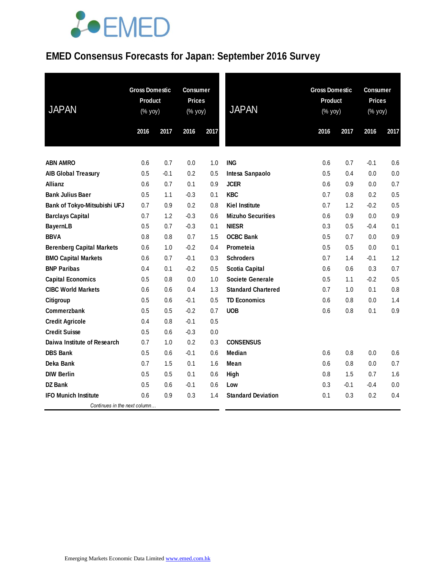# **JOEMED**

### **EMED Consensus Forecasts for Japan: September 2016 Survey**

| <b>JAPAN</b>                     | <b>Gross Domestic</b><br>Product<br>(% yoy) |        | <b>Consumer</b><br><b>Prices</b><br>(% yoy) |      | <b>JAPAN</b>              | <b>Gross Domestic</b><br><b>Product</b><br>$(% \mathsf{Y}\rightarrow \mathsf{Y})$ |        | <b>Consumer</b><br><b>Prices</b><br>(% yoy) |      |
|----------------------------------|---------------------------------------------|--------|---------------------------------------------|------|---------------------------|-----------------------------------------------------------------------------------|--------|---------------------------------------------|------|
|                                  | 2016                                        | 2017   | 2016                                        | 2017 |                           | 2016                                                                              | 2017   | 2016                                        | 2017 |
|                                  |                                             |        |                                             |      |                           |                                                                                   |        |                                             |      |
| <b>ABN AMRO</b>                  | 0.6                                         | 0.7    | 0.0                                         | 1.0  | <b>ING</b>                | 0.6                                                                               | 0.7    | $-0.1$                                      | 0.6  |
| <b>AIB Global Treasury</b>       | 0.5                                         | $-0.1$ | 0.2                                         | 0.5  | Intesa Sanpaolo           | 0.5                                                                               | 0.4    | 0.0                                         | 0.0  |
| Allianz                          | 0.6                                         | 0.7    | 0.1                                         | 0.9  | <b>JCER</b>               | 0.6                                                                               | 0.9    | 0.0                                         | 0.7  |
| <b>Bank Julius Baer</b>          | 0.5                                         | 1.1    | $-0.3$                                      | 0.1  | <b>KBC</b>                | 0.7                                                                               | 0.8    | 0.2                                         | 0.5  |
| Bank of Tokyo-Mitsubishi UFJ     | 0.7                                         | 0.9    | 0.2                                         | 0.8  | Kiel Institute            | 0.7                                                                               | 1.2    | $-0.2$                                      | 0.5  |
| <b>Barclays Capital</b>          | 0.7                                         | 1.2    | $-0.3$                                      | 0.6  | <b>Mizuho Securities</b>  | 0.6                                                                               | 0.9    | 0.0                                         | 0.9  |
| <b>BayernLB</b>                  | 0.5                                         | 0.7    | $-0.3$                                      | 0.1  | <b>NIESR</b>              | 0.3                                                                               | 0.5    | $-0.4$                                      | 0.1  |
| <b>BBVA</b>                      | 0.8                                         | 0.8    | 0.7                                         | 1.5  | <b>OCBC Bank</b>          | 0.5                                                                               | 0.7    | 0.0                                         | 0.9  |
| <b>Berenberg Capital Markets</b> | 0.6                                         | 1.0    | $-0.2$                                      | 0.4  | Prometeia                 | 0.5                                                                               | 0.5    | 0.0                                         | 0.1  |
| <b>BMO Capital Markets</b>       | 0.6                                         | 0.7    | $-0.1$                                      | 0.3  | <b>Schroders</b>          | 0.7                                                                               | 1.4    | $-0.1$                                      | 1.2  |
| <b>BNP Paribas</b>               | 0.4                                         | 0.1    | $-0.2$                                      | 0.5  | <b>Scotia Capital</b>     | 0.6                                                                               | 0.6    | 0.3                                         | 0.7  |
| <b>Capital Economics</b>         | 0.5                                         | 0.8    | 0.0                                         | 1.0  | <b>Societe Generale</b>   | 0.5                                                                               | 1.1    | $-0.2$                                      | 0.5  |
| <b>CIBC World Markets</b>        | 0.6                                         | 0.6    | 0.4                                         | 1.3  | <b>Standard Chartered</b> | 0.7                                                                               | 1.0    | 0.1                                         | 0.8  |
| Citigroup                        | 0.5                                         | 0.6    | $-0.1$                                      | 0.5  | <b>TD Economics</b>       | 0.6                                                                               | 0.8    | 0.0                                         | 1.4  |
| <b>Commerzbank</b>               | 0.5                                         | 0.5    | $-0.2$                                      | 0.7  | <b>UOB</b>                | 0.6                                                                               | 0.8    | 0.1                                         | 0.9  |
| <b>Credit Agricole</b>           | 0.4                                         | 0.8    | $-0.1$                                      | 0.5  |                           |                                                                                   |        |                                             |      |
| <b>Credit Suisse</b>             | 0.5                                         | 0.6    | $-0.3$                                      | 0.0  |                           |                                                                                   |        |                                             |      |
| Daiwa Institute of Research      | 0.7                                         | 1.0    | 0.2                                         | 0.3  | <b>CONSENSUS</b>          |                                                                                   |        |                                             |      |
| <b>DBS Bank</b>                  | 0.5                                         | 0.6    | $-0.1$                                      | 0.6  | Median                    | 0.6                                                                               | 0.8    | 0.0                                         | 0.6  |
| Deka Bank                        | 0.7                                         | 1.5    | 0.1                                         | 1.6  | Mean                      | 0.6                                                                               | 0.8    | 0.0                                         | 0.7  |
| <b>DIW Berlin</b>                | 0.5                                         | 0.5    | 0.1                                         | 0.6  | High                      | 0.8                                                                               | 1.5    | 0.7                                         | 1.6  |
| <b>DZ Bank</b>                   | 0.5                                         | 0.6    | $-0.1$                                      | 0.6  | Low                       | 0.3                                                                               | $-0.1$ | $-0.4$                                      | 0.0  |
| <b>IFO Munich Institute</b>      | 0.6                                         | 0.9    | 0.3                                         | 1.4  | <b>Standard Deviation</b> | 0.1                                                                               | 0.3    | 0.2                                         | 0.4  |
| Continues in the next column     |                                             |        |                                             |      |                           |                                                                                   |        |                                             |      |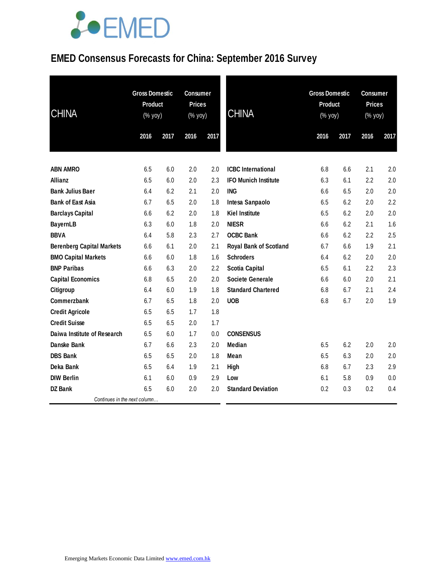# LOEMED

## **EMED Consensus Forecasts for China: September 2016 Survey**

| <b>CHINA</b>                     | <b>Gross Domestic</b><br><b>Product</b><br>(% yoy) |      | <b>Consumer</b><br><b>Prices</b><br>(% yoy) |      | <b>CHINA</b>                  | <b>Gross Domestic</b><br>Product<br>(% yoy) |      | <b>Consumer</b><br><b>Prices</b><br>(% yoy) |      |
|----------------------------------|----------------------------------------------------|------|---------------------------------------------|------|-------------------------------|---------------------------------------------|------|---------------------------------------------|------|
|                                  | 2016                                               | 2017 | 2016                                        | 2017 |                               | 2016                                        | 2017 | 2016                                        | 2017 |
| <b>ABN AMRO</b>                  | 6.5                                                | 6.0  | 2.0                                         | 2.0  | <b>ICBC</b> International     | 6.8                                         | 6.6  | 2.1                                         | 2.0  |
| <b>Allianz</b>                   | 6.5                                                | 6.0  | 2.0                                         | 2.3  | <b>IFO Munich Institute</b>   | 6.3                                         | 6.1  | 2.2                                         | 2.0  |
| <b>Bank Julius Baer</b>          | 6.4                                                | 6.2  | 2.1                                         | 2.0  | <b>ING</b>                    | 6.6                                         | 6.5  | 2.0                                         | 2.0  |
| <b>Bank of East Asia</b>         | 6.7                                                | 6.5  | 2.0                                         | 1.8  | Intesa Sanpaolo               | 6.5                                         | 6.2  | 2.0                                         | 2.2  |
| <b>Barclays Capital</b>          | 6.6                                                | 6.2  | 2.0                                         | 1.8  | <b>Kiel Institute</b>         | 6.5                                         | 6.2  | 2.0                                         | 2.0  |
| <b>BayernLB</b>                  | 6.3                                                | 6.0  | 1.8                                         | 2.0  | <b>NIESR</b>                  | 6.6                                         | 6.2  | 2.1                                         | 1.6  |
| <b>BBVA</b>                      | 6.4                                                | 5.8  | 2.3                                         | 2.7  | <b>OCBC Bank</b>              | 6.6                                         | 6.2  | 2.2                                         | 2.5  |
| <b>Berenberg Capital Markets</b> | 6.6                                                | 6.1  | 2.0                                         | 2.1  | <b>Royal Bank of Scotland</b> | 6.7                                         | 6.6  | 1.9                                         | 2.1  |
| <b>BMO Capital Markets</b>       | 6.6                                                | 6.0  | 1.8                                         | 1.6  | <b>Schroders</b>              | 6.4                                         | 6.2  | 2.0                                         | 2.0  |
| <b>BNP Paribas</b>               | 6.6                                                | 6.3  | 2.0                                         | 2.2  | <b>Scotia Capital</b>         | 6.5                                         | 6.1  | 2.2                                         | 2.3  |
| <b>Capital Economics</b>         | 6.8                                                | 6.5  | 2.0                                         | 2.0  | <b>Societe Generale</b>       | 6.6                                         | 6.0  | 2.0                                         | 2.1  |
| Citigroup                        | 6.4                                                | 6.0  | 1.9                                         | 1.8  | <b>Standard Chartered</b>     | 6.8                                         | 6.7  | 2.1                                         | 2.4  |
| Commerzbank                      | 6.7                                                | 6.5  | 1.8                                         | 2.0  | <b>UOB</b>                    | 6.8                                         | 6.7  | 2.0                                         | 1.9  |
| <b>Credit Agricole</b>           | 6.5                                                | 6.5  | 1.7                                         | 1.8  |                               |                                             |      |                                             |      |
| <b>Credit Suisse</b>             | 6.5                                                | 6.5  | 2.0                                         | 1.7  |                               |                                             |      |                                             |      |
| Daiwa Institute of Research      | 6.5                                                | 6.0  | 1.7                                         | 0.0  | <b>CONSENSUS</b>              |                                             |      |                                             |      |
| Danske Bank                      | 6.7                                                | 6.6  | 2.3                                         | 2.0  | <b>Median</b>                 | 6.5                                         | 6.2  | 2.0                                         | 2.0  |
| <b>DBS Bank</b>                  | 6.5                                                | 6.5  | 2.0                                         | 1.8  | Mean                          | 6.5                                         | 6.3  | 2.0                                         | 2.0  |
| Deka Bank                        | 6.5                                                | 6.4  | 1.9                                         | 2.1  | <b>High</b>                   | 6.8                                         | 6.7  | 2.3                                         | 2.9  |
| <b>DIW Berlin</b>                | 6.1                                                | 6.0  | 0.9                                         | 2.9  | Low                           | 6.1                                         | 5.8  | 0.9                                         | 0.0  |
| <b>DZ Bank</b>                   | 6.5                                                | 6.0  | 2.0                                         | 2.0  | <b>Standard Deviation</b>     | 0.2                                         | 0.3  | 0.2                                         | 0.4  |
| Continues in the next column     |                                                    |      |                                             |      |                               |                                             |      |                                             |      |